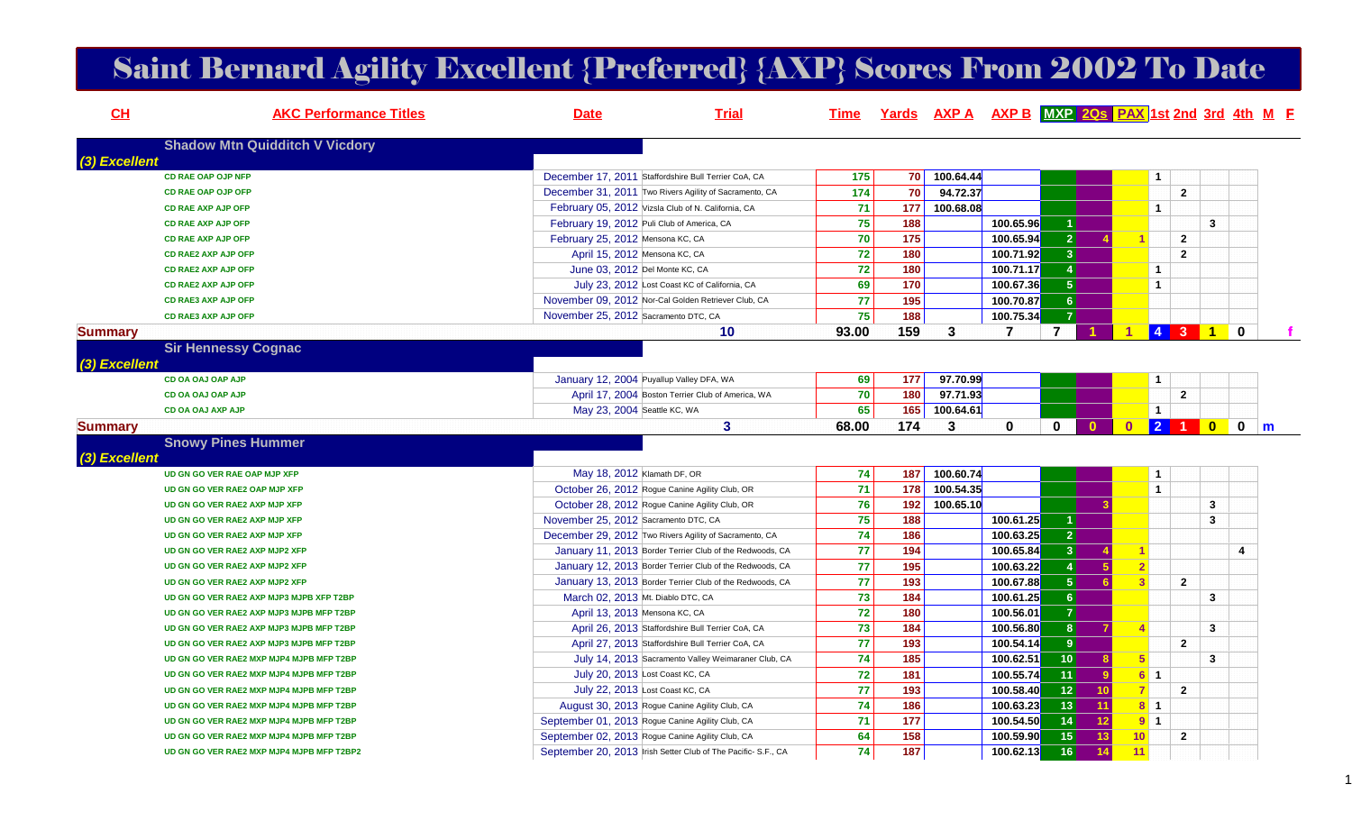## Saint Bernard Agility Excellent {Preferred} {AXP} Scores From 2002 To Date

| CH             | <b>AKC Performance Titles</b>             | <b>Date</b>                          | <b>Trial</b>                                                 | Time  |                 |           |                | Yards AXP A AXP B MXP 2Qs PAX 1st 2nd 3rd 4th M F |                         |                 |                |                         |             |   |
|----------------|-------------------------------------------|--------------------------------------|--------------------------------------------------------------|-------|-----------------|-----------|----------------|---------------------------------------------------|-------------------------|-----------------|----------------|-------------------------|-------------|---|
| (3) Excellent  | <b>Shadow Mtn Quidditch V Vicdory</b>     |                                      |                                                              |       |                 |           |                |                                                   |                         |                 |                |                         |             |   |
|                | <b>CD RAE OAP OJP NFP</b>                 |                                      | December 17, 2011 Staffordshire Bull Terrier CoA, CA         | 175   | <b>70</b>       | 100.64.44 |                |                                                   |                         | $\overline{1}$  |                |                         |             |   |
|                | <b>CD RAE OAP OJP OFP</b>                 |                                      | December 31, 2011 Two Rivers Agility of Sacramento, CA       | 174   | 70              | 94.72.37  |                |                                                   |                         |                 | $\overline{2}$ |                         |             |   |
|                | <b>CD RAE AXP AJP OFP</b>                 |                                      | February 05, 2012 Vizsla Club of N. California, CA           | 71    | 177             | 100.68.08 |                |                                                   |                         | $\mathbf{1}$    |                |                         |             |   |
|                | <b>CD RAE AXP AJP OFP</b>                 |                                      | February 19, 2012 Puli Club of America, CA                   | 75    | 188             |           | 100.65.96      |                                                   |                         |                 |                | 3                       |             |   |
|                | <b>CD RAE AXP AJP OFP</b>                 | February 25, 2012 Mensona KC, CA     |                                                              | 70    | 175             |           | 100.65.94      | 2 <sup>1</sup>                                    |                         |                 | $\mathbf{2}$   |                         |             |   |
|                | CD RAE2 AXP AJP OFP                       |                                      | April 15, 2012 Mensona KC, CA                                | 72    | 180             |           | 100.71.92      | 3 <sup>1</sup>                                    |                         |                 | $\overline{2}$ |                         |             |   |
|                | <b>CD RAE2 AXP AJP OFP</b>                |                                      | June 03, 2012 Del Monte KC, CA                               | 72    | 180             |           | 100.71.17      | $\blacktriangleleft$                              |                         | $\mathbf{1}$    |                |                         |             |   |
|                | <b>CD RAE2 AXP AJP OFP</b>                |                                      | July 23, 2012 Lost Coast KC of California, CA                | 69    | 170             |           | 100.67.36      | 5 <sup>1</sup>                                    |                         | $\mathbf{1}$    |                |                         |             |   |
|                | <b>CD RAE3 AXP AJP OFP</b>                |                                      | November 09, 2012 Nor-Cal Golden Retriever Club, CA          | 77    | 195             |           | 100.70.87      | 6 <sup>1</sup>                                    |                         |                 |                |                         |             |   |
|                | <b>CD RAE3 AXP AJP OFP</b>                | November 25, 2012 Sacramento DTC, CA |                                                              | 75    | 188             |           | 100.75.34      | 7 <sup>1</sup>                                    |                         |                 |                |                         |             |   |
| <b>Summary</b> |                                           |                                      | 10                                                           | 93.00 | 159             | 3         | $\overline{7}$ | $\overline{7}$<br>$\blacktriangleleft$            | $\blacktriangleleft$    |                 | 4 3 1          |                         | $\mathbf 0$ |   |
|                | <b>Sir Hennessy Cognac</b>                |                                      |                                                              |       |                 |           |                |                                                   |                         |                 |                |                         |             |   |
| (3) Excellent  |                                           |                                      |                                                              |       |                 |           |                |                                                   |                         |                 |                |                         |             |   |
|                | CD OA OAJ OAP AJP                         |                                      | January 12, 2004 Puyallup Valley DFA, WA                     | 69    | 177             | 97.70.99  |                |                                                   |                         | $\mathbf{1}$    |                |                         |             |   |
|                | CD OA OAJ OAP AJP                         |                                      | April 17, 2004 Boston Terrier Club of America, WA            | 70    | 180             | 97.71.93  |                |                                                   |                         |                 | $\mathbf{2}$   |                         |             |   |
|                | <b>CD OA OAJ AXP AJP</b>                  |                                      | May 23, 2004 Seattle KC, WA                                  | 65    | 165             | 100.64.61 |                |                                                   |                         | $\mathbf{1}$    |                |                         |             |   |
| <b>Summary</b> |                                           |                                      | 3                                                            | 68.00 | 174             | 3         | 0              | $\mathbf 0$<br>$\mathbf{0}$                       | $\mathbf{0}$            | $\vert 2 \vert$ | $\overline{1}$ | $\overline{\mathbf{0}}$ | $\mathbf 0$ | m |
|                | <b>Snowy Pines Hummer</b>                 |                                      |                                                              |       |                 |           |                |                                                   |                         |                 |                |                         |             |   |
| (3) Excellent  |                                           |                                      |                                                              |       |                 |           |                |                                                   |                         |                 |                |                         |             |   |
|                | UD GN GO VER RAE OAP MJP XFP              |                                      | May 18, 2012 Klamath DF, OR                                  | 74    | 187             | 100.60.74 |                |                                                   |                         | $\mathbf{1}$    |                |                         |             |   |
|                | UD GN GO VER RAE2 OAP MJP XFP             |                                      | October 26, 2012 Rogue Canine Agility Club, OR               | 71    | 178             | 100.54.35 |                |                                                   |                         | $\mathbf{1}$    |                |                         |             |   |
|                | UD GN GO VER RAE2 AXP MJP XFP             |                                      | October 28, 2012 Rogue Canine Agility Club, OR               | 76    | 192             | 100.65.10 |                |                                                   |                         |                 |                | 3                       |             |   |
|                | UD GN GO VER RAE2 AXP MJP XFP             | November 25, 2012 Sacramento DTC, CA |                                                              | 75    | 188             |           | 100.61.25      |                                                   |                         |                 |                | 3                       |             |   |
|                | UD GN GO VER RAE2 AXP MJP XFP             |                                      | December 29, 2012 Two Rivers Agility of Sacramento, CA       | 74    | 186             |           | 100.63.25      | 2 <sup>1</sup>                                    |                         |                 |                |                         |             |   |
|                | UD GN GO VER RAE2 AXP MJP2 XFP            |                                      | January 11, 2013 Border Terrier Club of the Redwoods, CA     | 77    | 194             |           | 100.65.84      | 3 <sup>1</sup>                                    |                         | 1               |                |                         | 4           |   |
|                | UD GN GO VER RAE2 AXP MJP2 XFP            |                                      | January 12, 2013 Border Terrier Club of the Redwoods, CA     | 77    | 195             |           | 100.63.22      | 4                                                 | 5                       | 2 <sup>1</sup>  |                |                         |             |   |
|                | UD GN GO VER RAE2 AXP MJP2 XFP            |                                      | January 13, 2013 Border Terrier Club of the Redwoods, CA     | 77    | 193             |           | 100.67.88      | 5 <sup>1</sup>                                    | 6                       | 3 <sup>2</sup>  | $\overline{2}$ |                         |             |   |
|                | UD GN GO VER RAE2 AXP MJP3 MJPB XFP T2BP  |                                      | March 02, 2013 Mt. Diablo DTC, CA                            | 73    | 184             |           | 100.61.25      | 6 <sup>1</sup>                                    |                         |                 |                | 3                       |             |   |
|                | UD GN GO VER RAE2 AXP MJP3 MJPB MFP T2BP  |                                      | April 13, 2013 Mensona KC, CA                                | 72    | 180             |           | 100.56.01      | $\overline{7}$                                    |                         |                 |                |                         |             |   |
|                | UD GN GO VER RAE2 AXP MJP3 MJPB MFP T2BP  |                                      | April 26, 2013 Staffordshire Bull Terrier CoA, CA            | 73    | 184             |           | 100.56.80      | 8 <sup>1</sup>                                    | $\overline{\mathbf{A}}$ |                 |                | 3                       |             |   |
|                | UD GN GO VER RAE2 AXP MJP3 MJPB MFP T2BP  |                                      | April 27, 2013 Staffordshire Bull Terrier CoA, CA            | 77    | 193             |           | 100.54.14      | 9 <sup>1</sup>                                    |                         |                 | $\overline{2}$ |                         |             |   |
|                | UD GN GO VER RAE2 MXP MJP4 MJPB MFP T2BP  |                                      | July 14, 2013 Sacramento Valley Weimaraner Club, CA          | 74    | 185             |           | 100.62.51      | 10 <sup>1</sup>                                   |                         | 5 <sub>1</sub>  |                | 3                       |             |   |
|                | UD GN GO VER RAE2 MXP MJP4 MJPB MFP T2BP  |                                      | July 20, 2013 Lost Coast KC, CA                              | 72    | 181             |           | 100.55.74      | $\overline{11}$                                   | $9^{\circ}$             | 611             |                |                         |             |   |
|                | UD GN GO VER RAE2 MXP MJP4 MJPB MFP T2BP  |                                      | July 22, 2013 Lost Coast KC, CA                              | 77    | 193             |           | 100.58.40      | 12<br>10 <sub>1</sub>                             |                         | 7 <sup>1</sup>  | $\overline{2}$ |                         |             |   |
|                | UD GN GO VER RAE2 MXP MJP4 MJPB MFP T2BP  |                                      | August 30, 2013 Rogue Canine Agility Club, CA                | 74    | 186             |           | 100.63.23      | 13<br>11                                          |                         | $8 \quad 1$     |                |                         |             |   |
|                | UD GN GO VER RAE2 MXP MJP4 MJPB MFP T2BP  |                                      | September 01, 2013 Rogue Canine Agility Club, CA             | 71    | 177             |           | 100.54.50      | 14 <br>12 <sub>2</sub>                            |                         | 911             |                |                         |             |   |
|                | UD GN GO VER RAE2 MXP MJP4 MJPB MFP T2BP  |                                      | September 02, 2013 Rogue Canine Agility Club, CA             | 64    | $\frac{1}{158}$ |           | 100.59.90      | 15<br>13                                          | 10                      |                 | $\mathbf{2}$   |                         |             |   |
|                | UD GN GO VER RAE2 MXP MJP4 MJPB MFP T2BP2 |                                      | September 20, 2013 Irish Setter Club of The Pacific-S.F., CA | 74    | 187             |           | 100.62.13      | 16<br>14                                          | 11                      |                 |                |                         |             |   |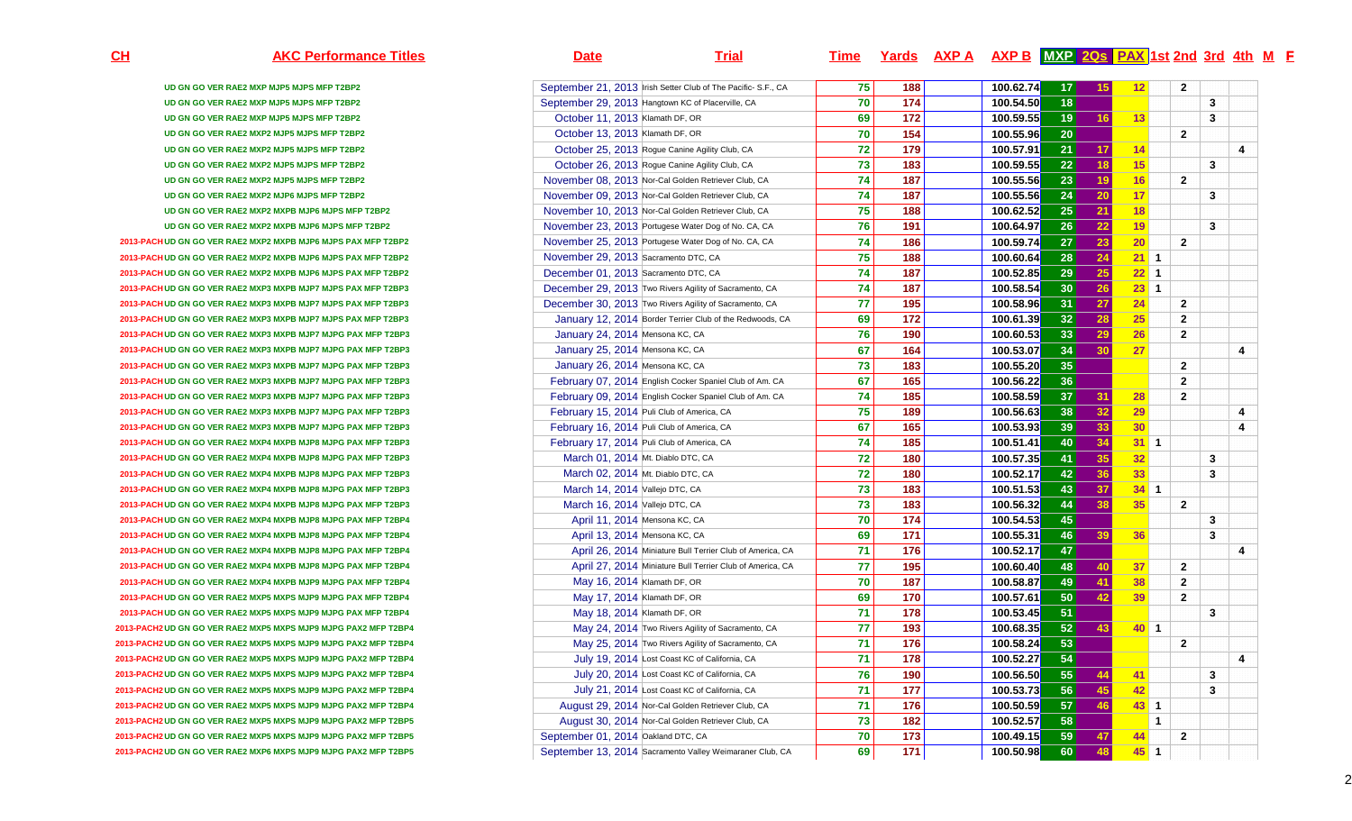**CH**

| <b>AKC Performance Titles</b>                                   | <b>Date</b>                                         | <b>Trial</b>                                                  | <u>Time</u>     |                 | <u>Yards AXP A AXP B MXP 20s PAX 1st 2nd 3rd 4th M F</u> |                 |                 |              |                |                |   |
|-----------------------------------------------------------------|-----------------------------------------------------|---------------------------------------------------------------|-----------------|-----------------|----------------------------------------------------------|-----------------|-----------------|--------------|----------------|----------------|---|
| UD GN GO VER RAE2 MXP MJP5 MJPS MFP T2BP2                       |                                                     | September 21, 2013 Irish Setter Club of The Pacific- S.F., CA | 75              | 188             | 100.62.74                                                | 17              | 15              | 12           |                | $\mathbf{2}$   |   |
| UD GN GO VER RAE2 MXP MJP5 MJPS MFP T2BP2                       | September 29, 2013 Hangtown KC of Placerville, CA   |                                                               | 70              | 174             | 100.54.50                                                | 18              |                 |              |                | 3              |   |
| UD GN GO VER RAE2 MXP MJP5 MJPS MFP T2BP2                       | October 11, 2013 Klamath DF, OR                     |                                                               | 69              | 172             | 100.59.55                                                | 19              | 16              | 13           |                | $\mathbf{3}$   |   |
| UD GN GO VER RAE2 MXP2 MJP5 MJPS MFP T2BP2                      | October 13, 2013 Klamath DF, OR                     |                                                               | 70              | 154             | 100.55.96                                                | 20 <sup>°</sup> |                 |              |                | $\overline{2}$ |   |
| UD GN GO VER RAE2 MXP2 MJP5 MJPS MFP T2BP2                      | October 25, 2013 Rogue Canine Agility Club, CA      |                                                               | 72              | 179             | 100.57.91                                                | 21              | 17              | 14           |                |                | 4 |
| UD GN GO VER RAE2 MXP2 MJP5 MJPS MFP T2BP2                      | October 26, 2013 Rogue Canine Agility Club, CA      |                                                               | 73              | 183             | 100.59.55                                                | 22              | 18              | 15           |                | $\mathbf{3}$   |   |
| UD GN GO VER RAE2 MXP2 MJP5 MJPS MFP T2BP2                      | November 08, 2013 Nor-Cal Golden Retriever Club, CA |                                                               | $\overline{74}$ | $\frac{1}{187}$ | 100.55.56                                                | $\overline{23}$ | 19              | 16           |                | $\overline{2}$ |   |
| UD GN GO VER RAE2 MXP2 MJP6 MJPS MFP T2BP2                      | November 09, 2013 Nor-Cal Golden Retriever Club, CA |                                                               | 74              | 187             | 100.55.56                                                | 24              | 20              | 17           |                | 3              |   |
| UD GN GO VER RAE2 MXP2 MXPB MJP6 MJPS MFP T2BP2                 | November 10, 2013 Nor-Cal Golden Retriever Club, CA |                                                               | 75              | 188             | 100.62.52                                                | 25              | 21              | 18           |                |                |   |
| UD GN GO VER RAE2 MXP2 MXPB MJP6 MJPS MFP T2BP2                 | November 23, 2013 Portugese Water Dog of No. CA, CA |                                                               | 76              | 191             | 100.64.97                                                | 26              | 22              | 19           |                | $\mathbf{3}$   |   |
| 2013-PACH UD GN GO VER RAE2 MXP2 MXPB MJP6 MJPS PAX MFP T2BP2   | November 25, 2013 Portugese Water Dog of No. CA, CA |                                                               | $\overline{74}$ | 186             | 100.59.74                                                | 27              | $\overline{23}$ | 20           |                | $\overline{2}$ |   |
| 2013-PACH UD GN GO VER RAE2 MXP2 MXPB MJP6 MJPS PAX MFP T2BP2   | November 29, 2013 Sacramento DTC, CA                |                                                               | 75              | 188             | 100.60.64                                                | 28              | 24              | $21$ 1       |                |                |   |
| 2013-PACH UD GN GO VER RAE2 MXP2 MXPB MJP6 MJPS PAX MFP T2BP2   | December 01, 2013 Sacramento DTC, CA                |                                                               | 74              | 187             | 100.52.85                                                | 29              | 25              | $22$ 1       |                |                |   |
| 2013-PACH UD GN GO VER RAE2 MXP3 MXPB MJP7 MJPS PAX MFP T2BP3   |                                                     | December 29, 2013 Two Rivers Agility of Sacramento, CA        | $\overline{74}$ | $\frac{1}{187}$ | 100.58.54                                                | 30 <sup>°</sup> | 26              | $23$ 1       |                |                |   |
| 2013-PACH UD GN GO VER RAE2 MXP3 MXPB MJP7 MJPS PAX MFP T2BP3   |                                                     | December 30, 2013 Two Rivers Agility of Sacramento, CA        | 77              | 195             | 100.58.96                                                | 31              | 27              | 24           |                | $\overline{2}$ |   |
| 2013-PACH UD GN GO VER RAE2 MXP3 MXPB MJP7 MJPS PAX MFP T2BP3   |                                                     | January 12, 2014 Border Terrier Club of the Redwoods, CA      | 69              | 172             | 100.61.39                                                | 32              | 28              | 25           | $\mathbf{2}$   |                |   |
| 2013-PACH UD GN GO VER RAE2 MXP3 MXPB MJP7 MJPG PAX MFP T2BP3   | January 24, 2014 Mensona KC, CA                     |                                                               | 76              | 190             | 100.60.53                                                | 33              | 29              | 26           | $\mathbf{2}$   |                |   |
| 2013-PACH UD GN GO VER RAE2 MXP3 MXPB MJP7 MJPG PAX MFP T2BP3   | January 25, 2014 Mensona KC, CA                     |                                                               | 67              | $\frac{164}{x}$ | 100.53.07                                                | 34              | 30              | 27           |                |                | 4 |
| 2013-PACH UD GN GO VER RAE2 MXP3 MXPB MJP7 MJPG PAX MFP T2BP3   | January 26, 2014 Mensona KC, CA                     |                                                               | 73              | 183             | 100.55.20                                                | 35              |                 |              |                | $\overline{2}$ |   |
| 2013-PACH UD GN GO VER RAE2 MXP3 MXPB MJP7 MJPG PAX MFP T2BP3   |                                                     | February 07, 2014 English Cocker Spaniel Club of Am. CA       | 67              | 165             | 100.56.22                                                | 36              |                 |              | $\mathbf{2}$   |                |   |
| 2013-PACH UD GN GO VER RAE2 MXP3 MXPB MJP7 MJPG PAX MFP T2BP3   |                                                     | February 09, 2014 English Cocker Spaniel Club of Am. CA       | $\overline{74}$ | $\frac{1}{185}$ | 100.58.59                                                | 37              | 31              | 28           | $\overline{2}$ |                |   |
| 2013-PACH UD GN GO VER RAE2 MXP3 MXPB MJP7 MJPG PAX MFP T2BP3   | February 15, 2014 Puli Club of America, CA          |                                                               | 75              | 189             | 100.56.63                                                | 38              | 32              | 29           |                |                | 4 |
| 2013-PACH UD GN GO VER RAE2 MXP3 MXPB MJP7 MJPG PAX MFP T2BP3   | February 16, 2014 Puli Club of America, CA          |                                                               | 67              | 165             | 100.53.93                                                | 39              | 33              | 30           |                |                | 4 |
| 2013-PACH UD GN GO VER RAE2 MXP4 MXPB MJP8 MJPG PAX MFP T2BP3   | February 17, 2014 Puli Club of America, CA          |                                                               | 74              | 185             | 100.51.41                                                | 40              | 34              | $31$ 1       |                |                |   |
| 2013-PACH UD GN GO VER RAE2 MXP4 MXPB MJP8 MJPG PAX MFP T2BP3   | March 01, 2014 Mt. Diablo DTC, CA                   |                                                               | 72              | 180             | 100.57.35                                                | 41              | 35              | 32           |                | $\mathbf{3}$   |   |
| 2013-PACH UD GN GO VER RAE2 MXP4 MXPB MJP8 MJPG PAX MFP T2BP3   | March 02, 2014 Mt. Diablo DTC, CA                   |                                                               | $72$            | 180             | 100.52.17                                                | 42              | 36              | 33           |                | $\mathbf{3}$   |   |
| 2013-PACH UD GN GO VER RAE2 MXP4 MXPB MJP8 MJPG PAX MFP T2BP3   | March 14, 2014 Vallejo DTC, CA                      |                                                               | 73              | 183             | 100.51.53                                                | 43              | 37              | $34 \quad 1$ |                |                |   |
| 2013-PACH UD GN GO VER RAE2 MXP4 MXPB MJP8 MJPG PAX MFP T2BP3   | March 16, 2014 Vallejo DTC, CA                      |                                                               | 73              | 183             | 100.56.32                                                | 44              | 38              | 35           |                | $\overline{2}$ |   |
| 2013-PACH UD GN GO VER RAE2 MXP4 MXPB MJP8 MJPG PAX MFP T2BP4   | April 11, 2014 Mensona KC, CA                       |                                                               | 70              | 174             | 100.54.53                                                | 45              |                 |              |                | 3              |   |
| 2013-PACH UD GN GO VER RAE2 MXP4 MXPB MJP8 MJPG PAX MFP T2BP4   | April 13, 2014 Mensona KC, CA                       |                                                               | 69              | 171             | 100.55.31                                                | 46              | 39              | 36           |                | 3              |   |
| 2013-PACH UD GN GO VER RAE2 MXP4 MXPB MJP8 MJPG PAX MFP T2BP4   |                                                     | April 26, 2014 Miniature Bull Terrier Club of America, CA     | 71              | 176             | 100.52.17                                                | 47              |                 |              |                |                | 4 |
| 2013-PACH UD GN GO VER RAE2 MXP4 MXPB MJP8 MJPG PAX MFP T2BP4   |                                                     | April 27, 2014 Miniature Bull Terrier Club of America, CA     | 77              | 195             | 100.60.40                                                | 48              | 40              | 37           |                | $\overline{2}$ |   |
| 2013-PACH UD GN GO VER RAE2 MXP4 MXPB MJP9 MJPG PAX MFP T2BP4   | May 16, 2014 Klamath DF, OR                         |                                                               | 70              | 187             | 100.58.87                                                | 49              | 41              | 38           |                | $\overline{2}$ |   |
| 2013-PACH UD GN GO VER RAE2 MXP5 MXPS MJP9 MJPG PAX MFP T2BP4   | May 17, 2014 Klamath DF, OR                         |                                                               | 69              | 170             | 100.57.61                                                | 50              | 42              | 39           |                | $\overline{2}$ |   |
| 2013-PACH UD GN GO VER RAE2 MXP5 MXPS MJP9 MJPG PAX MFP T2BP4   | May 18, 2014 Klamath DF, OR                         |                                                               | 71              | 178             | 100.53.45                                                | 51              |                 |              |                | $\mathbf{3}$   |   |
| 2013-PACH2 UD GN GO VER RAE2 MXP5 MXPS MJP9 MJPG PAX2 MFP T2BP4 |                                                     | May 24, 2014 Two Rivers Agility of Sacramento, CA             | 77              | 193             | 100.68.35                                                | 52              | 43              | $40$ 1       |                |                |   |
| 2013-PACH2 UD GN GO VER RAE2 MXP5 MXPS MJP9 MJPG PAX2 MFP T2BP4 |                                                     | May 25, 2014 Two Rivers Agility of Sacramento, CA             | 71              | 176             | 100.58.24                                                | 53              |                 |              |                | $\overline{2}$ |   |
| 2013-PACH2 UD GN GO VER RAE2 MXP5 MXPS MJP9 MJPG PAX2 MFP T2BP4 |                                                     | July 19, 2014 Lost Coast KC of California, CA                 | 71              | 178             | 100.52.27                                                | 54              |                 |              |                |                | 4 |
| 2013-PACH2 UD GN GO VER RAE2 MXP5 MXPS MJP9 MJPG PAX2 MFP T2BP4 |                                                     | July 20, 2014 Lost Coast KC of California, CA                 | 76              | 190             | 100.56.50                                                | 55              | 44              | 41           |                | 3              |   |
| 2013-PACH2 UD GN GO VER RAE2 MXP5 MXPS MJP9 MJPG PAX2 MFP T2BP4 |                                                     | July 21, 2014 Lost Coast KC of California, CA                 | 71              | 177             | 100.53.73                                                | 56              | 45              | 42           |                | 3              |   |
| 2013-PACH2 UD GN GO VER RAE2 MXP5 MXPS MJP9 MJPG PAX2 MFP T2BP4 |                                                     | August 29, 2014 Nor-Cal Golden Retriever Club, CA             | 71              | 176             | 100.50.59                                                | 57              | 46              | $43$ 1       |                |                |   |
| 2013-PACH2 UD GN GO VER RAE2 MXP5 MXPS MJP9 MJPG PAX2 MFP T2BP5 |                                                     | August 30, 2014 Nor-Cal Golden Retriever Club, CA             | 73              | 182             | 100.52.57                                                | 58              |                 |              | - 1            |                |   |
| 2013-PACH2 UD GN GO VER RAE2 MXP5 MXPS MJP9 MJPG PAX2 MFP T2BP5 | September 01, 2014 Oakland DTC, CA                  |                                                               | 70              | 173             | 100.49.15                                                | 59              | 47              | 44           |                | $\mathbf{2}$   |   |
| 2013-PACH2 UD GN GO VER RAE2 MXP6 MXPS MJP9 MJPG PAX2 MFP T2BP5 |                                                     | September 13, 2014 Sacramento Valley Weimaraner Club, CA      | 69              | 171             | 100.50.98                                                | 60              | 48              | $45$ 1       |                |                |   |
|                                                                 |                                                     |                                                               |                 |                 |                                                          |                 |                 |              |                |                |   |

2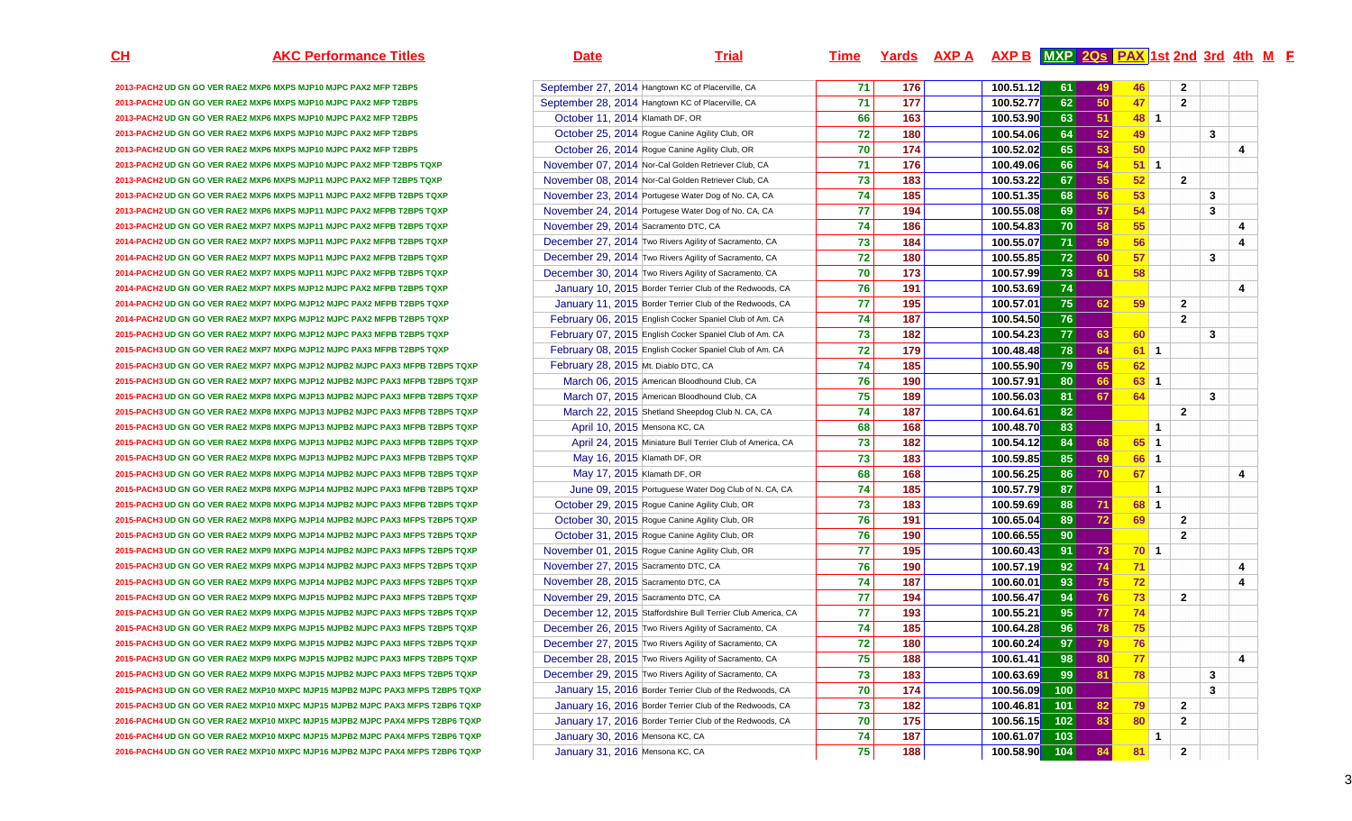**2013-PACH2 UD GN GO VER RAE2 MXP6 MXPS MJP10 MJPC PAX2 MFP T2BP5** September 27, 2014 Hangtown KC of Placerville, CA **2013-PACH2 UD GN GO VER RAE2 MXP6 MXPS MJP10 MJPC PAX2 MFP T2BP5** September 28, 2014 Hangtown KC of Placerville, CA **2013-PACH2 UD GN GO VER RAE2 MXP6 MXPS MJP10 MJPC PAX2 MFP T2BP5** October 11, 2014 Klamath DF, OR**2013-PACH2 UD GN GO VER RAE2 MXP6 MXPS MJP10 MJPC PAX2 MFP T2BP5 October 25, 2014** Rogue Canine Agility Club, OR **2013-PACH2 UD GN GO VER RAE2 MXP6 MXPS MJP10 MJPC PAX2 MFP T2BP5 October 26, 2014** Rogue Canine Agility Club, OR **2013-PACH2 UD GN GO VER RAE2 MXP6 MXPS MJP10 MJPC PAX2 MFP T2BP5 TQXP2013-PACH2 UD GN GO VER RAE2 MXP6 MXPS MJP11 MJPC PAX2 MFP T2BP5 TQXP2013-PACH2 UD GN GO VER RAE2 MXP6 MXPS MJP11 MJPC PAX2 MFPB T2BP5 TQXP2013-PACH2 UD GN GO VER RAE2 MXP6 MXPS MJP11 MJPC PAX2 MFPB T2BP5 TQXP** November 24, 2014 Portugese Water Dog of No. CA, CA**2013-PACH2 UD GN GO VER RAE2 MXP7 MXPS MJP11 MJPC PAX2 MFPB T2BP5 TQXP** November 29, 2014 Sacramento DTC, CA**2014-PACH2 UD GN GO VER RAE2 MXP7 MXPS MJP11 MJPC PAX2 MFPB T2BP5 TQXP <b>December 27, 2014** Two Rivers Agility of Sacramento, CA **2014-PACH2 UD GN GO VER RAE2 MXP7 MXPS MJP11 MJPC PAX2 MFPB T2BP5 TQXP <b>December 29, 2014** Two Rivers Agility of Sacramento, CA **2014-PACH2 UD GN GO VER RAE2 MXP7 MXPS MJP11 MJPC PAX2 MFPB T2BP5 TQXP**2014-PACH2 UD GN GO VER RAF2 MXP7 MXPS MJP12 MJPC PAX2 MFPB T2BP5 TOXP 2014-PACH2 UD GN GO VER RAE2 MXP7 MXPG MJP12 MJPC PAX2 MFPB T2BP5 TQXP **2014-PACH2 UD GN GO VER RAE2 MXP7 MXPG MJP12 MJPC PAX2 MFPB T2BP5 TQXP** February 06, 2015 English Cocker Spaniel Club of Am. CA2015-PACH3 UD GN GO VER RAF2 MXP7 MXPG MJP12 MJPC PAX3 MFPB T2BP5 TOXP 2015-PACH3 UD GN GO VER RAE2 MXP7 MXPG MJP12 MJPC PAX3 MFPB T2BP5 TQXP **2015-PACH3 UD GN GO VER RAE2 MXP7 MXPG MJP12 MJPB2 MJPC PAX3 MFPB T2BP5 TQXP** February 28, 2015 Mt. Diablo DTC, CA**2015-PACH3 UD GN GO VER RAE2 MXP7 MXPG MJP12 MJPB2 MJPC PAX3 MFPB T2BP5 TQXP** March 06, 2015 American Bloodhound Club, CA**2015-PACH3 UD GN GO VER RAE2 MXP8 MXPG MJP13 MJPB2 MJPC PAX3 MFPB T2BP5 TQXP** March 07, 2015 American Bloodhound Club, CA**2015-PACH3 UD GN GO VER RAE2 MXP8 MXPG MJP13 MJPB2 MJPC PAX3 MFPB T2BP5 TQXP** March 22, 2015 Shetland Sheepdog Club N. CA, CA**2015-PACH3 UD GN GO VER RAE2 MXP8 MXPG MJP13 MJPB2 MJPC PAX3 MFPB T2BP5 TQXP** April 10, 2015 Mensona KC, CA**2015-PACH3 UD GN GO VER RAE2 MXP8 MXPG MJP13 MJPB2 MJPC PAX3 MFPB T2BP5 TQXP** April 24, 2015 Miniature Bull Terrier Club of America, CA**2015-PACH3 UD GN GO VER RAE2 MXP8 MXPG MJP13 MJPB2 MJPC PAX3 MFPB T2BP5 TQXP** May 16, 2015 Klamath DF, OR**2015-PACH3 UD GN GO VER RAE2 MXP8 MXPG MJP14 MJPB2 MJPC PAX3 MFPB T2BP5 TQXP** May 17, 2015 Klamath DF, OR**2015-PACH3 UD GN GO VER RAE2 MXP8 MXPG MJP14 MJPB2 MJPC PAX3 MFPB T2BP5 TQXP** June 09, 2015 Portuguese Water Dog Club of N. CA, CA**2015-PACH3 UD GN GO VER RAE2 MXP8 MXPG MJP14 MJPB2 MJPC PAX3 MFPB T2BP5 TQXP** October 29, 2015 Rogue Canine Agility Club, OR**2015-PACH3 UD GN GO VER RAE2 MXP8 MXPG MJP14 MJPB2 MJPC PAX3 MFPS T2BP5 TQXP2015-PACH3 UD GN GO VER RAE2 MXP9 MXPG MJP14 MJPB2 MJPC PAX3 MFPS T2BP5 TQXP2015-PACH3 UD GN GO VER RAE2 MXP9 MXPG MJP14 MJPB2 MJPC PAX3 MFPS T2BP5 TQXP2015-PACH3 UD GN GO VER RAE2 MXP9 MXPG MJP14 MJPB2 MJPC PAX3 MFPS T2BP5 TQXP2015-PACH3 UD GN GO VER RAE2 MXP9 MXPG MJP14 MJPB2 MJPC PAX3 MFPS T2BP5 TQXP2015-PACH3 UD GN GO VER RAE2 MXP9 MXPG MJP15 MJPB2 MJPC PAX3 MFPS T2BP5 TQXP2015-PACH3 UD GN GO VER RAE2 MXP9 MXPG MJP15 MJPB2 MJPC PAX3 MFPS T2BP5 TQXP2015-PACH3 UD GN GO VER RAE2 MXP9 MXPG MJP15 MJPB2 MJPC PAX3 MFPS T2BP5 TQXP2015-PACH3 UD GN GO VER RAE2 MXP9 MXPG MJP15 MJPB2 MJPC PAX3 MFPS T2BP5 TQXP2015-PACH3 UD GN GO VER RAE2 MXP9 MXPG MJP15 MJPB2 MJPC PAX3 MFPS T2BP5 TQXP2015-PACH3 UD GN GO VER RAE2 MXP9 MXPG MJP15 MJPB2 MJPC PAX3 MFPS T2BP5 TQXP2015-PACH3 UD GN GO VER RAE2 MXP10 MXPC MJP15 MJPB2 MJPC PAX3 MFPS T2BP5 TQXP2015-PACH3 UD GN GO VER RAE2 MXP10 MXPC MJP15 MJPB2 MJPC PAX3 MFPS T2BP6 TQXP2016-PACH4 UD GN GO VER RAE2 MXP10 MXPC MJP15 MJPB2 MJPC PAX4 MFPS T2BP6 TQXP2016-PACH4 UD GN GO VER RAE2 MXP10 MXPC MJP15 MJPB2 MJPC PAX4 MFPS T2BP6 TQXP2016-PACH4 UD GN GO VER RAE2 MXP10 MXPC MJP16 MJPB2 MJPC PAX4 MFPS T2BP6 TQXP**

## **AKC Performance Titles Date Trial Time Yards AXP A AXP B MXP 2Qs PAX 1st 2nd 3rd 4th <sup>M</sup> <sup>F</sup> September 27, 2014 Hangtown KC of Placerville, CA 176** 176 176 100.51.12 **61 49 46 2 2005 177 177 178 100.52.77 177 178 100.52.77 100.52.77 177 177 177 177 100.52.77 62 50 47 2** R 100.53.90 **63 51 48 1 72** 180 100.54.06<br> **72** 180 100.54.06<br> **72 180 100.54.06**<br> **72 174 100.52.02 6** 64 52 49 11 3 R <mark>70 174</mark> 100.52.02 **65 53 50 4**  November 07, 2014 Nor-Cal Golden Retriever Club, CA **71 176 100.49.06**<br>November 08, 2014 Nor-Cal Golden Retriever Club, CA 73 183 100.53.22 **66 54 51 1**  November 08, 2014 Nor-Cal Golden Retriever Club, CA **183 183 67 55 52 2**  November 23, 2014 Portugese Water Dog of No. CA, CA **74 185 100.51.35** 100.51.35 <mark>5</mark> 68 56 53 **11 12** 3 **77** 194 100.55.08 November 24, 2014 Portugese Water Dog of No. CA, CA 100.57.08<br> **74 186** 100.54.83 **69 57 54 3**  A **186** 100.54.83 **2** 70 58 55 **4 100.55.07** December 27, 2014 Two Rivers Agility of Sacramento, CA **184** 184 100.55.07<br> **December 29, 2014 Two Rivers Agility of Sacramento, CA** 180 100.55.85 **71 59 56 4 72 180 100.55.855** 72 60 57 3 December 30, 2014 Two Rivers Agility of Sacramento, CA **73 61 58 76 191 100.53.69**<u>**9** 74 - Julie 1 4</u> **77 195 100.57.01 75 62 59 2 76 2 73 182 100.54.23**<mark>3</mark> 77 63 60 3 **72 179 100.48.48 78 64 61 1 79 65 62 80 66 63 1**  <mark>81 67 64</mark> 3 **1** 82 **2 2** A **68 168 168 100.48.70** <mark>0</mark> 83 1 100.54.12 84 68 65 1<br>100.59.85 85 69 66 1 R <mark>100.59.85</mark> 183 184 190.59.85 **85 69 66 1**  R 1<mark>00.56.25</mark> [100.56.25] **86 70 67 4**  <mark>9</mark> 87 <mark>\_\_\_\_\_\_\_\_\_\_\_\_1</mark> **88 71 68 1 76 191 100.65.0489 72 69 2**

**January 10, 2015 Border Terrier Club of the Redwoods, CA January 11, 2015 Border Terrier Club of the Redwoods, CA February 06. 2015** English Cocker Spaniel Club of Am. CA **187 187 100.54.50** February 07, 2015 English Cocker Spaniel Club of Am. CA February 08, 2015 English Cocker Spaniel Club of Am. CA **February 28, 2015 Mt. Diable DTC, CA 185 100.55.90** March 06, 2015 American Bloodhound Club, CA **190 190 100.57.91**<br>March 07, 2015 American Bloodhound Club, CA 199 189 189 100.56.03 March 07, 2015 American Bloodhound Club, CA **189 189** 100.56.03 March 22, 2015 Shetland Sheepdog Club N. CA, CA **187 187 100.64.61** 100.64.61 **100.54.12 100.54.12 100.54.12 100.54.12 100.54.12 100.54.12 100.54.12** June 09, 2015 **Portuguese Water Dog Club of N. CA, CA 174 185 100.57.79 October 29, 2015** Rogue Canine Agility Club, OR **183** 183 100.59.69 October 30, 2015 Rogue Canine Agility Club, OR October 31, 2015 Rogue Canine Agility Club, ORR <mark>76 190</mark> 100.66.55 **90** 2 2 November 01, 2015 Rogue Canine Agility Club, OR **77 195 100.60.43 91 73 70 1**  November 27, 2015 Sacramento DTC, CA **92 74 71 4**  November 28, 2015 Sacramento DTC, CA **74 187 100.60.01 93 75 72 4**  November 29, 2015 Sacramento DTC, CA **77 194 100.56.47**<br>December 12, 2015 Staffordshire Bull Terrier Club America, CA 77 193 100.55.21 **7** 94 76 73 2 December 12, 2015 Staffordshire Bull Terrier Club America, CA **95 77 74**  December 26, 2015 Two Rivers Agility of Sacramento, CA **74 185 100.64.28**<br>December 27, 2015 Two Rivers Agility of Sacramento, CA 72 180 100.60.24 **96 78 75**  December 27, 2015 Two Rivers Agility of Sacramento, CA **72**<br>December 28, 2015 Two Rivers Agility of Sacramento, CA **75 97 79 76 December 28, 2015 Two Rivers Agility of Sacramento, CA 175 188 100.61.41** <mark>1</mark> 98 80 77 **12 12 12 14** December 29, 2015 Two Rivers Agility of Sacramento, CA **73 183 100.63.69**<br>
January 15, 2016 Border Terrier Club of the Redwoods, CA 70 174 100.56.09 **9** 99 81 78 3 January 15, 2016 Border Terrier Club of the Redwoods, CA **70 174 100.56.09**<br>January 16, 2016 Border Terrier Club of the Redwoods, CA 73 182 100.46.81 **100** 3 January 16, 2016 Border Terrier Club of the Redwoods. CA <mark>1</mark> 101 82 79 2 January 17, 2016 Border Terrier Club of the Redwoods, CA **70 175 100.56.15**<br>January 30, 2016 Mensona KC, CA **74 187 100.61.07 102 83 80 2**  January 30, 2016 Mensona KC, CA **74 187 100.61.07 103 1**  January 31, 2016 Mensona KC, CA **188 188 104 84 81 2** 

**CH**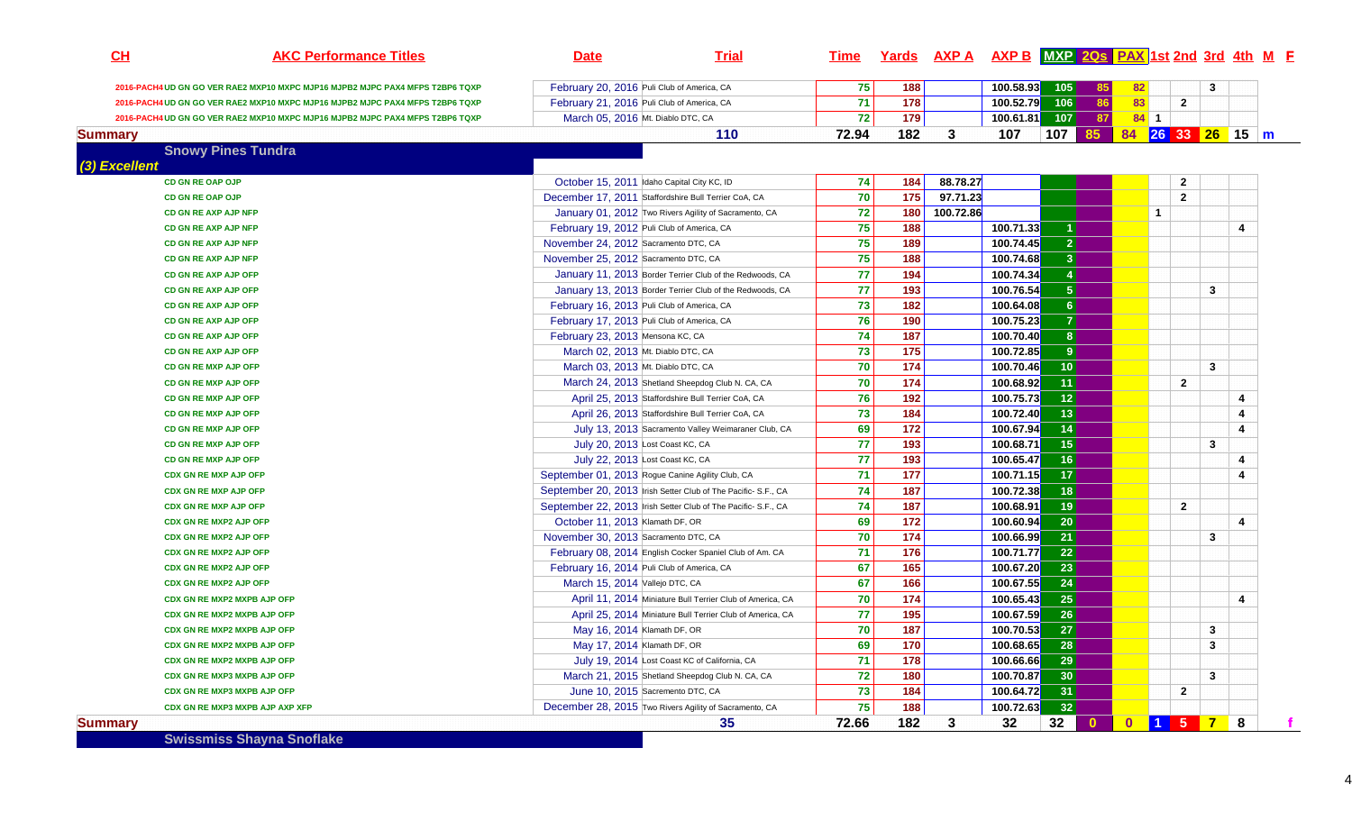| CL             | <b>AKC Performance Titles</b>                                                 | <b>Date</b>                          | <b>Trial</b>                                                  | <u>Time</u> |               |           | Yards AXP A AXP B MXP 2Qs PAX 1st 2nd 3rd 4th M E |                      |           |              |                  |   |   |  |
|----------------|-------------------------------------------------------------------------------|--------------------------------------|---------------------------------------------------------------|-------------|---------------|-----------|---------------------------------------------------|----------------------|-----------|--------------|------------------|---|---|--|
|                | 2016-PACH4 UD GN GO VER RAE2 MXP10 MXPC MJP16 MJPB2 MJPC PAX4 MFPS T2BP6 TQXP |                                      | February 20, 2016 Puli Club of America, CA                    | 75          | 188           |           | 100.58.93                                         | 105                  | 85        | 82           |                  | 3 |   |  |
|                | 2016-PACH4 UD GN GO VER RAE2 MXP10 MXPC MJP16 MJPB2 MJPC PAX4 MFPS T2BP6 TQXP |                                      | February 21, 2016 Puli Club of America, CA                    | 71          | 178           |           | 100.52.79                                         | 106                  | 86        | 83           | $\overline{2}$   |   |   |  |
|                | 2016-PACH4 UD GN GO VER RAE2 MXP10 MXPC MJP16 MJPB2 MJPC PAX4 MFPS T2BP6 TQXP |                                      | March 05, 2016 Mt. Diablo DTC, CA                             | 72          | 179           |           | 100.61.81                                         | 107                  | 87        | $84 \quad 1$ |                  |   |   |  |
| <b>Summary</b> |                                                                               |                                      | 110                                                           | 72.94       | 182           | 3         | 107                                               | 107                  | 85        |              | 84 26 33 26 15 m |   |   |  |
|                | <b>Snowy Pines Tundra</b>                                                     |                                      |                                                               |             |               |           |                                                   |                      |           |              |                  |   |   |  |
| (3) Excellent  |                                                                               |                                      |                                                               |             |               |           |                                                   |                      |           |              |                  |   |   |  |
|                | CD GN RE OAP OJP                                                              |                                      | October 15, 2011 Idaho Capital City KC, ID                    | 74          | 184           | 88.78.27  |                                                   |                      |           |              | $\overline{2}$   |   |   |  |
|                | CD GN RE OAP OJP                                                              |                                      | December 17, 2011 Staffordshire Bull Terrier CoA, CA          | 70          | $\boxed{175}$ | 97.71.23  |                                                   |                      |           |              | $\overline{2}$   |   |   |  |
|                | CD GN RE AXP AJP NFP                                                          |                                      | January 01, 2012 Two Rivers Agility of Sacramento, CA         | 72          | 180           | 100.72.86 |                                                   |                      |           |              | $\mathbf{1}$     |   |   |  |
|                | CD GN RE AXP AJP NFP                                                          |                                      | February 19, 2012 Puli Club of America, CA                    | 75          | 188           |           | 100.71.33                                         | $\blacktriangleleft$ |           |              |                  |   | 4 |  |
|                | CD GN RE AXP AJP NFP                                                          | November 24, 2012 Sacramento DTC, CA |                                                               | 75          | 189           |           | 100.74.45                                         | $\mathbf{2}$         |           |              |                  |   |   |  |
|                | CD GN RE AXP AJP NFP                                                          | November 25, 2012 Sacramento DTC, CA |                                                               | 75          | 188           |           | 100.74.68                                         | 3 <sup>1</sup>       |           |              |                  |   |   |  |
|                | CD GN RE AXP AJP OFP                                                          |                                      | January 11, 2013 Border Terrier Club of the Redwoods, CA      | 77          | 194           |           | 100.74.34                                         | $\vert 4 \vert$      |           |              |                  |   |   |  |
|                | CD GN RE AXP AJP OFP                                                          |                                      | January 13, 2013 Border Terrier Club of the Redwoods, CA      | 77          | 193           |           | 100.76.54                                         | 5 <sup>1</sup>       |           |              |                  | 3 |   |  |
|                | CD GN RE AXP AJP OFP                                                          |                                      | February 16, 2013 Puli Club of America, CA                    | 73          | 182           |           | 100.64.08                                         | 6 <sup>1</sup>       |           |              |                  |   |   |  |
|                | CD GN RE AXP AJP OFP                                                          |                                      | February 17, 2013 Puli Club of America, CA                    | 76          | 190           |           | 100.75.23                                         | $\mathbf{7}$         |           |              |                  |   |   |  |
|                | CD GN RE AXP AJP OFP                                                          | February 23, 2013 Mensona KC, CA     |                                                               | 74          | 187           |           | 100.70.40                                         | 8 <sup>1</sup>       |           |              |                  |   |   |  |
|                | CD GN RE AXP AJP OFP                                                          |                                      | March 02, 2013 Mt. Diablo DTC, CA                             | 73          | 175           |           | 100.72.85                                         | 9                    |           |              |                  |   |   |  |
|                | <b>CD GN RE MXP AJP OFP</b>                                                   |                                      | March 03. 2013 Mt. Diablo DTC, CA                             | 70          | 174           |           | 100.70.46                                         | 10 <sup>°</sup>      |           |              |                  | 3 |   |  |
|                | CD GN RE MXP AJP OFP                                                          |                                      | March 24, 2013 Shetland Sheepdog Club N. CA, CA               | 70          | 174           |           | 100.68.92                                         | 11 <sub>1</sub>      |           |              | $\overline{2}$   |   |   |  |
|                | CD GN RE MXP AJP OFP                                                          |                                      | April 25, 2013 Staffordshire Bull Terrier CoA, CA             | 76          | 192           |           | 100.75.73                                         | 12                   |           |              |                  |   | 4 |  |
|                | <b>CD GN RE MXP AJP OFP</b>                                                   |                                      | April 26, 2013 Staffordshire Bull Terrier CoA, CA             | 73          | 184           |           | 100.72.40                                         | 13                   |           |              |                  |   | 4 |  |
|                | CD GN RE MXP AJP OFP                                                          |                                      | July 13, 2013 Sacramento Valley Weimaraner Club, CA           | 69          | 172           |           | 100.67.94                                         | 14                   |           |              |                  |   | 4 |  |
|                | CD GN RE MXP AJP OFP                                                          |                                      | July 20, 2013 Lost Coast KC, CA                               | 77          | 193           |           | 100.68.71                                         | 15                   |           |              |                  | 3 |   |  |
|                | <b>CD GN RE MXP AJP OFP</b>                                                   |                                      | July 22, 2013 Lost Coast KC, CA                               | 77          | 193           |           | 100.65.47                                         | 16                   |           |              |                  |   | 4 |  |
|                | <b>CDX GN RE MXP AJP OFP</b>                                                  |                                      | September 01, 2013 Rogue Canine Agility Club, CA              | 71          | 177           |           | 100.71.15                                         | 17 <sup>2</sup>      |           |              |                  |   | 4 |  |
|                | <b>CDX GN RE MXP AJP OFP</b>                                                  |                                      | September 20, 2013 Irish Setter Club of The Pacific- S.F., CA | 74          | 187           |           | 100.72.38                                         | 18                   |           |              |                  |   |   |  |
|                | <b>CDX GN RE MXP AJP OFP</b>                                                  |                                      | September 22, 2013 Irish Setter Club of The Pacific-S.F., CA  | 74          | 187           |           | 100.68.91                                         | 19                   |           |              | $\overline{2}$   |   |   |  |
|                | <b>CDX GN RE MXP2 AJP OFP</b>                                                 | October 11, 2013 Klamath DF, OR      |                                                               | 69          | 172           |           | 100.60.94                                         | 20 <sup>1</sup>      |           |              |                  |   | 4 |  |
|                | <b>CDX GN RE MXP2 AJP OFP</b>                                                 | November 30, 2013 Sacramento DTC, CA |                                                               | 70          | 174           |           | 100.66.99                                         | 21                   |           |              |                  | 3 |   |  |
|                | <b>CDX GN RE MXP2 AJP OFP</b>                                                 |                                      | February 08, 2014 English Cocker Spaniel Club of Am. CA       | 71          | 176           |           | 100.71.77                                         | 22                   |           |              |                  |   |   |  |
|                | <b>CDX GN RE MXP2 AJP OFP</b>                                                 |                                      | February 16, 2014 Puli Club of America, CA                    | 67          | 165           |           | 100.67.20                                         | 23                   |           |              |                  |   |   |  |
|                | <b>CDX GN RE MXP2 AJP OFP</b>                                                 | March 15, 2014 Vallejo DTC, CA       |                                                               | 67          | 166           |           | 100.67.55                                         | $\overline{24}$      |           |              |                  |   |   |  |
|                | CDX GN RE MXP2 MXPB AJP OFP                                                   |                                      | April 11, 2014 Miniature Bull Terrier Club of America, CA     | 70          | 174           |           | 100.65.43                                         | 25                   |           |              |                  |   | 4 |  |
|                | CDX GN RE MXP2 MXPB AJP OFP                                                   |                                      | April 25, 2014 Miniature Bull Terrier Club of America, CA     | 77          | 195           |           | 100.67.59                                         | 26                   |           |              |                  |   |   |  |
|                | CDX GN RE MXP2 MXPB AJP OFP                                                   |                                      | May 16, 2014 Klamath DF, OR                                   | 70          | 187           |           | 100.70.53                                         | $\overline{27}$      |           |              |                  | 3 |   |  |
|                | CDX GN RE MXP2 MXPB AJP OFP                                                   |                                      | May 17, 2014 Klamath DF, OR                                   | 69          | 170           |           | 100.68.65                                         | 28                   |           |              |                  | 3 |   |  |
|                | CDX GN RE MXP2 MXPB AJP OFP                                                   |                                      | July 19, 2014 Lost Coast KC of California, CA                 | 71          | 178           |           | 100.66.66                                         | 29                   |           |              |                  |   |   |  |
|                | CDX GN RE MXP3 MXPB AJP OFP                                                   |                                      | March 21, 2015 Shetland Sheepdog Club N. CA, CA               | 72          | 180           |           | 100.70.87                                         | 30 <sup>°</sup>      |           |              |                  | 3 |   |  |
|                | CDX GN RE MXP3 MXPB AJP OFP                                                   |                                      | June 10, 2015 Sacremento DTC, CA                              | 73          | 184           |           | 100.64.72                                         | 31                   |           |              | $\overline{2}$   |   |   |  |
|                | CDX GN RE MXP3 MXPB AJP AXP XFP                                               |                                      | December 28, 2015 Two Rivers Agility of Sacramento, CA        | 75          | 188           |           | 100.72.63                                         | 32                   |           |              |                  |   |   |  |
| <b>Summary</b> |                                                                               |                                      | 35                                                            | 72.66       | 182           | 3         | 32                                                | 32 <sup>°</sup>      | $\bullet$ |              | 0 1 5 7          |   | 8 |  |

**Swissmiss Shayna Snoflake**

4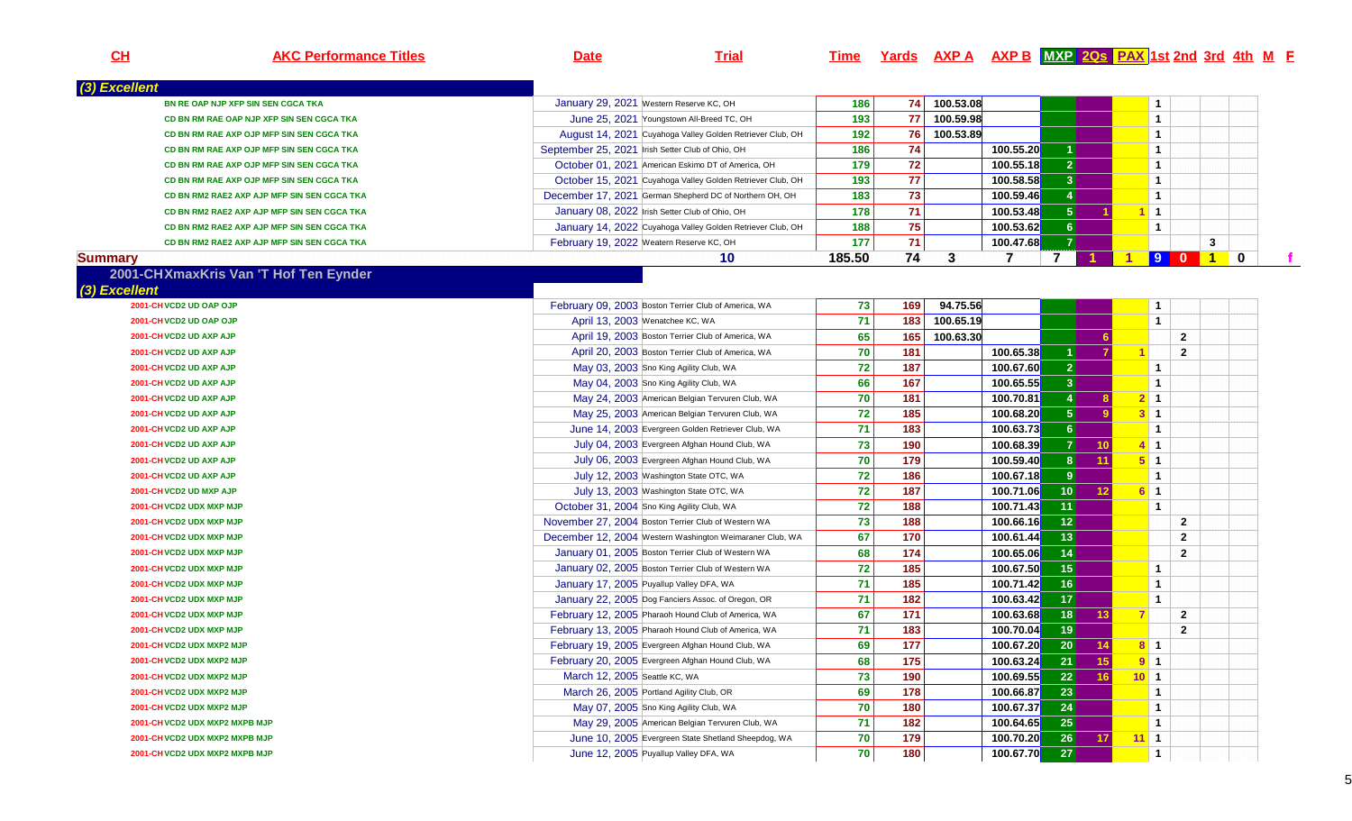| CL             | <b>AKC Performance Titles</b>               | <b>Date</b>                   | <b>Trial</b>                                               | <u>Time</u> |     | <u>Yards AXP A AXP B MXP 20s PAX 1st 2nd 3rd 4th M F</u> |           |                 |                 |                      |                |              |                  |             |
|----------------|---------------------------------------------|-------------------------------|------------------------------------------------------------|-------------|-----|----------------------------------------------------------|-----------|-----------------|-----------------|----------------------|----------------|--------------|------------------|-------------|
| (3) Excellent  |                                             |                               |                                                            |             |     |                                                          |           |                 |                 |                      |                |              |                  |             |
|                | BN RE OAP NJP XFP SIN SEN CGCA TKA          |                               | January 29, 2021 Western Reserve KC, OH                    | 186         | 74  | 100.53.08                                                |           |                 |                 |                      | $\mathbf{1}$   |              |                  |             |
|                | CD BN RM RAE OAP NJP XFP SIN SEN CGCA TKA   |                               | June 25, 2021 Youngstown All-Breed TC, OH                  | 193         | 77  | 100.59.98                                                |           |                 |                 |                      | $\mathbf{1}$   |              |                  |             |
|                | CD BN RM RAE AXP OJP MFP SIN SEN CGCA TKA   |                               | August 14, 2021 Cuyahoga Valley Golden Retriever Club, OH  | 192         | 76  | 100.53.89                                                |           |                 |                 |                      | $\mathbf{1}$   |              |                  |             |
|                | CD BN RM RAE AXP OJP MFP SIN SEN CGCA TKA   |                               | September 25, 2021 Irish Setter Club of Ohio, OH           | 186         | 74  |                                                          | 100.55.20 |                 |                 |                      | $\mathbf{1}$   |              |                  |             |
|                | CD BN RM RAE AXP OJP MFP SIN SEN CGCA TKA   |                               | October 01, 2021 American Eskimo DT of America, OH         | 179         | 72  |                                                          | 100.55.18 | $\mathbf{2}$    |                 |                      | $\mathbf{1}$   |              |                  |             |
|                | CD BN RM RAE AXP OJP MFP SIN SEN CGCA TKA   |                               | October 15, 2021 Cuyahoga Valley Golden Retriever Club, OH | 193         | 77  |                                                          | 100.58.58 | 3 <sup>1</sup>  |                 |                      | $\mathbf{1}$   |              |                  |             |
|                | CD BN RM2 RAE2 AXP AJP MFP SIN SEN CGCA TKA |                               | December 17, 2021 German Shepherd DC of Northern OH, OH    | 183         | 73  |                                                          | 100.59.46 | $\vert$ 4       |                 |                      | $\mathbf{1}$   |              |                  |             |
|                | CD BN RM2 RAE2 AXP AJP MFP SIN SEN CGCA TKA |                               | January 08, 2022 Irish Setter Club of Ohio, OH             | 178         | 71  |                                                          | 100.53.48 | 5 <sup>1</sup>  |                 |                      | $\blacksquare$ |              |                  |             |
|                | CD BN RM2 RAE2 AXP AJP MFP SIN SEN CGCA TKA |                               | January 14, 2022 Cuyahoga Valley Golden Retriever Club, OH | 188         | 75  |                                                          | 100.53.62 | 6 <sup>1</sup>  |                 |                      | $\mathbf{1}$   |              |                  |             |
|                | CD BN RM2 RAE2 AXP AJP MFP SIN SEN CGCA TKA |                               | February 19, 2022 Weatern Reserve KC, OH                   | 177         | 71  |                                                          | 100.47.68 | 7               |                 |                      |                |              | 3                |             |
| <b>Summary</b> |                                             |                               | 10                                                         | 185.50      | 74  | 3                                                        | 7         | $\overline{7}$  |                 | $\blacktriangleleft$ | <b>90</b>      |              | $\blacksquare$ 1 | $\mathbf 0$ |
|                | 2001-CHXmaxKris Van 'T Hof Ten Eynder       |                               |                                                            |             |     |                                                          |           |                 |                 |                      |                |              |                  |             |
| (3) Excellent  |                                             |                               |                                                            |             |     |                                                          |           |                 |                 |                      |                |              |                  |             |
|                | 2001-CH VCD2 UD OAP OJP                     |                               | February 09, 2003 Boston Terrier Club of America, WA       | 73          | 169 | 94.75.56                                                 |           |                 |                 |                      | $\mathbf{1}$   |              |                  |             |
|                | 2001-CH VCD2 UD OAP OJP                     |                               | April 13, 2003 Wenatchee KC, WA                            | 71          | 183 | 100.65.19                                                |           |                 |                 |                      | $\overline{1}$ |              |                  |             |
|                | 2001-CH VCD2 UD AXP AJP                     |                               | April 19, 2003 Boston Terrier Club of America, WA          | 65          | 165 | 100.63.30                                                |           |                 | 6               |                      |                | $\mathbf{2}$ |                  |             |
|                | 2001-CH VCD2 UD AXP AJP                     |                               | April 20, 2003 Boston Terrier Club of America, WA          | 70          | 181 |                                                          | 100.65.38 |                 |                 |                      |                | $\mathbf{2}$ |                  |             |
|                | 2001-CH VCD2 UD AXP AJP                     |                               | May 03, 2003 Sno King Agility Club, WA                     | 72          | 187 |                                                          | 100.67.60 | 2 <sup>1</sup>  |                 |                      | $\mathbf{1}$   |              |                  |             |
|                | 2001-CH VCD2 UD AXP AJP                     |                               | May 04, 2003 Sno King Agility Club, WA                     | 66          | 167 |                                                          | 100.65.55 | 3 <sup>1</sup>  |                 |                      | $\overline{1}$ |              |                  |             |
|                | 2001-CH VCD2 UD AXP AJP                     |                               | May 24, 2003 American Belgian Tervuren Club, WA            | 70          | 181 |                                                          | 100.70.81 |                 |                 |                      | $2 \mid 1$     |              |                  |             |
|                | 2001-CH VCD2 UD AXP AJP                     |                               | May 25, 2003 American Belgian Tervuren Club, WA            | 72          | 185 |                                                          | 100.68.20 | 5 <sup>1</sup>  |                 |                      | $3 \mid 1$     |              |                  |             |
|                | 2001-CH VCD2 UD AXP AJP                     |                               | June 14, 2003 Evergreen Golden Retriever Club, WA          | 71          | 183 |                                                          | 100.63.73 | 6 <sup>1</sup>  |                 |                      | $\overline{1}$ |              |                  |             |
|                | 2001-CH VCD2 UD AXP AJP                     |                               | July 04, 2003 Evergreen Afghan Hound Club, WA              | 73          | 190 |                                                          | 100.68.39 | 7               | 10 <sub>1</sub> |                      | $4 \mid 1$     |              |                  |             |
|                | 2001-CH VCD2 UD AXP AJP                     |                               | July 06, 2003 Evergreen Afghan Hound Club, WA              | 70          | 179 |                                                          | 100.59.40 | 8 <sup>1</sup>  | 11              | $5^{\circ}1$         |                |              |                  |             |
|                | 2001-CH VCD2 UD AXP AJP                     |                               | July 12, 2003 Washington State OTC, WA                     | 72          | 186 |                                                          | 100.67.18 | 9 <sup>1</sup>  |                 |                      | $\overline{1}$ |              |                  |             |
|                | 2001-CH VCD2 UD MXP AJP                     |                               | July 13, 2003 Washington State OTC, WA                     | 72          | 187 |                                                          | 100.71.06 | 10 <sub>1</sub> | 12              |                      | $6 \vert 1$    |              |                  |             |
|                | 2001-CH VCD2 UDX MXP MJP                    |                               | October 31, 2004 Sno King Agility Club, WA                 | 72          | 188 |                                                          | 100.71.43 | 11              |                 |                      | $\overline{1}$ |              |                  |             |
|                | 2001-CH VCD2 UDX MXP MJP                    |                               | November 27, 2004 Boston Terrier Club of Western WA        | 73          | 188 |                                                          | 100.66.16 | 12              |                 |                      |                | $\mathbf{2}$ |                  |             |
|                | 2001-CH VCD2 UDX MXP MJP                    |                               | December 12, 2004 Western Washington Weimaraner Club, WA   | 67          | 170 |                                                          | 100.61.44 | 13              |                 |                      |                | $\mathbf{2}$ |                  |             |
|                | 2001-CH VCD2 UDX MXP MJP                    |                               | January 01, 2005 Boston Terrier Club of Western WA         | 68          | 174 |                                                          | 100.65.06 | 14              |                 |                      |                | $\mathbf{2}$ |                  |             |
|                | 2001-CH VCD2 UDX MXP MJP                    |                               | January 02, 2005 Boston Terrier Club of Western WA         | 72          | 185 |                                                          | 100.67.50 | 15 <sup>2</sup> |                 |                      | $\mathbf{1}$   |              |                  |             |
|                | 2001-CH VCD2 UDX MXP MJP                    |                               | January 17, 2005 Puyallup Valley DFA, WA                   | 71          | 185 |                                                          | 100.71.42 | 16              |                 |                      | $\mathbf{1}$   |              |                  |             |
|                | 2001-CH VCD2 UDX MXP MJP                    |                               | January 22, 2005 Dog Fanciers Assoc. of Oregon, OR         | 71          | 182 |                                                          | 100.63.42 | 17              |                 |                      | $\mathbf{1}$   |              |                  |             |
|                | 2001-CH VCD2 UDX MXP MJP                    |                               | February 12, 2005 Pharaoh Hound Club of America, WA        | 67          | 171 |                                                          | 100.63.68 | 18              | 13              |                      |                | $\mathbf{2}$ |                  |             |
|                | 2001-CH VCD2 UDX MXP MJP                    |                               | February 13, 2005 Pharaoh Hound Club of America, WA        | 71          | 183 |                                                          | 100.70.04 | 19              |                 |                      |                | $\mathbf{2}$ |                  |             |
|                | 2001-CH VCD2 UDX MXP2 MJP                   |                               | February 19, 2005 Evergreen Afghan Hound Club, WA          | 69          | 177 |                                                          | 100.67.20 | $\boxed{20}$    | $-14$           | <b>8</b> 1           |                |              |                  |             |
|                | 2001-CH VCD2 UDX MXP2 MJP                   |                               | February 20, 2005 Evergreen Afghan Hound Club, WA          | 68          | 175 |                                                          | 100.63.24 | 21              | 15              | $9 \vert 1$          |                |              |                  |             |
|                | 2001-CH VCD2 UDX MXP2 MJP                   | March 12, 2005 Seattle KC, WA |                                                            | 73          | 190 |                                                          | 100.69.55 | 22              | 16              | $10$ 1               |                |              |                  |             |
|                | 2001-CH VCD2 UDX MXP2 MJP                   |                               | March 26, 2005 Portland Agility Club, OR                   | 69          | 178 |                                                          | 100.66.87 | 23              |                 |                      | $\mathbf{1}$   |              |                  |             |
|                | 2001-CH VCD2 UDX MXP2 MJP                   |                               | May 07, 2005 Sno King Agility Club, WA                     | 70          | 180 |                                                          | 100.67.37 | 24              |                 |                      | $\mathbf{1}$   |              |                  |             |
|                | 2001-CH VCD2 UDX MXP2 MXPB MJP              |                               | May 29, 2005 American Belgian Tervuren Club, WA            | 71          | 182 |                                                          | 100.64.65 | 25              |                 |                      | $\mathbf{1}$   |              |                  |             |
|                | 2001-CH VCD2 UDX MXP2 MXPB MJP              |                               | June 10, 2005 Evergreen State Shetland Sheepdog, WA        | 70          | 179 |                                                          | 100.70.20 | 26              | 17              | $11$ 1               |                |              |                  |             |
|                | 2001-CH VCD2 UDX MXP2 MXPB MJP              |                               | June 12, 2005 Puyallup Valley DFA, WA                      | 70          | 180 |                                                          | 100.67.70 | 27              |                 |                      | $\mathbf{1}$   |              |                  |             |
|                |                                             |                               |                                                            |             |     |                                                          |           |                 |                 |                      |                |              |                  |             |